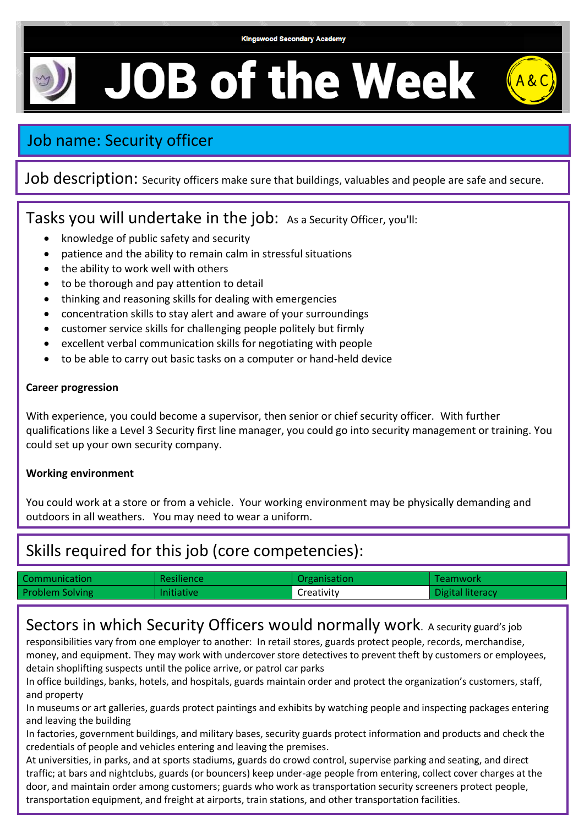#### **Kingswood Secondary Academy**

# **JOB of the Week**

## Job name: Security officer

### Job description: Security officers make sure that buildings, valuables and people are safe and secure.

## Tasks you will undertake in the job: As a Security Officer, you'll:

- knowledge of public safety and security
- patience and the ability to remain calm in stressful situations
- the ability to work well with others
- to be thorough and pay attention to detail
- thinking and reasoning skills for dealing with emergencies
- concentration skills to stay alert and aware of your surroundings
- customer service skills for challenging people politely but firmly
- excellent verbal communication skills for negotiating with people
- to be able to carry out basic tasks on a computer or hand-held device

#### **Career progression**

With experience, you could become a supervisor, then senior or chief security officer. With further qualifications like a Level 3 Security first line manager, you could go into security management or training. You could set up your own security company.

#### **Working environment**

You could work at a store or from a vehicle. Your working environment may be physically demanding and outdoors in all weathers. You may need to wear a uniform.

## Skills required for this job (core competencies):

| Communication          | <b>Resilience</b> | Organisation | Teamwork         |
|------------------------|-------------------|--------------|------------------|
| <b>Problem Solving</b> | <b>Initiative</b> | Creativity   | Digital literacy |

## Sectors in which Security Officers would normally work. A security guard's job

responsibilities vary from one employer to another: In retail stores, guards protect people, records, merchandise, money, and equipment. They may work with undercover store detectives to prevent theft by customers or employees, detain shoplifting suspects until the police arrive, or patrol car parks

In office buildings, banks, hotels, and hospitals, guards maintain order and protect the organization's customers, staff, and property

In museums or art galleries, guards protect paintings and exhibits by watching people and inspecting packages entering and leaving the building

In factories, government buildings, and military bases, security guards protect information and products and check the credentials of people and vehicles entering and leaving the premises.

At universities, in parks, and at sports stadiums, guards do crowd control, supervise parking and seating, and direct traffic; at bars and nightclubs, guards (or bouncers) keep under-age people from entering, collect cover charges at the door, and maintain order among customers; guards who work as transportation security screeners protect people, transportation equipment, and freight at airports, train stations, and other transportation facilities.